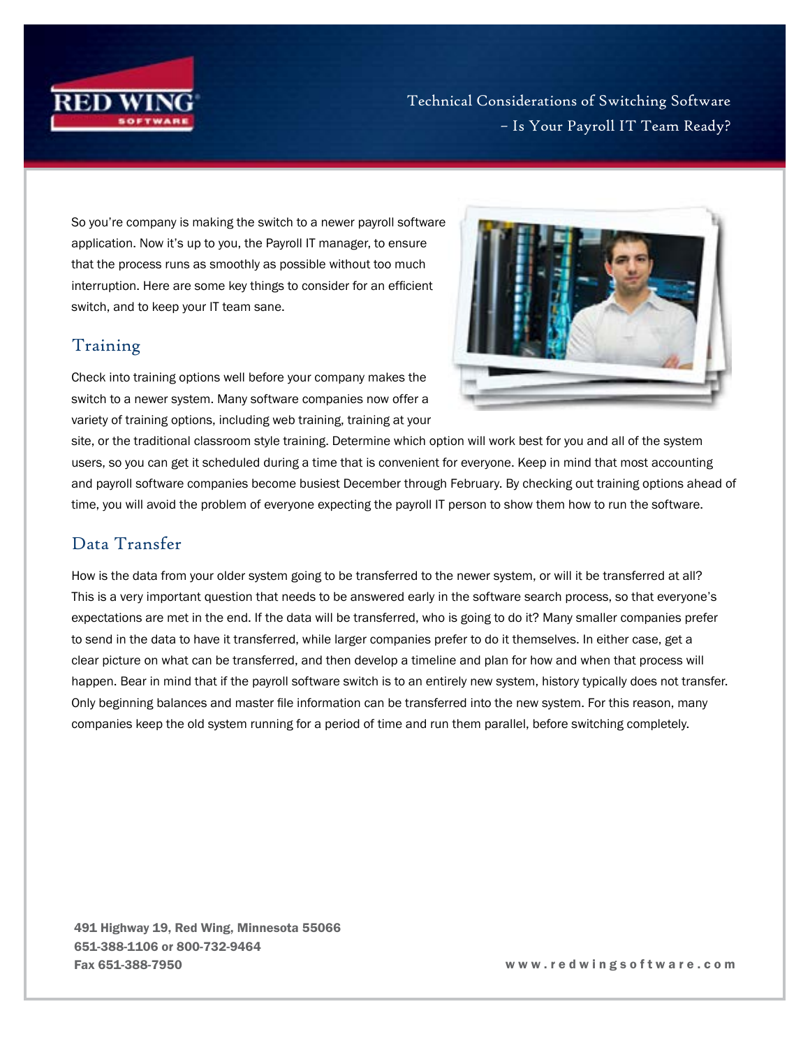

Technical Considerations of Switching Software – Is Your Payroll IT Team Ready?

So you're company is making the switch to a newer payroll software application. Now it's up to you, the Payroll IT manager, to ensure that the process runs as smoothly as possible without too much interruption. Here are some key things to consider for an efficient switch, and to keep your IT team sane.

## Training

Check into training options well before your company makes the switch to a newer system. Many software companies now offer a variety of training options, including web training, training at your



site, or the traditional classroom style training. Determine which option will work best for you and all of the system users, so you can get it scheduled during a time that is convenient for everyone. Keep in mind that most accounting and payroll software companies become busiest December through February. By checking out training options ahead of time, you will avoid the problem of everyone expecting the payroll IT person to show them how to run the software.

## Data Transfer

How is the data from your older system going to be transferred to the newer system, or will it be transferred at all? This is a very important question that needs to be answered early in the software search process, so that everyone's expectations are met in the end. If the data will be transferred, who is going to do it? Many smaller companies prefer to send in the data to have it transferred, while larger companies prefer to do it themselves. In either case, get a clear picture on what can be transferred, and then develop a timeline and plan for how and when that process will happen. Bear in mind that if the payroll software switch is to an entirely new system, history typically does not transfer. Only beginning balances and master file information can be transferred into the new system. For this reason, many companies keep the old system running for a period of time and run them parallel, before switching completely.

491 Highway 19, Red Wing, Minnesota 55066 651-388-1106 or 800-732-9464 Fax 651-388-7950 w w w . r e d w i n g s o f t w a r e . c o m